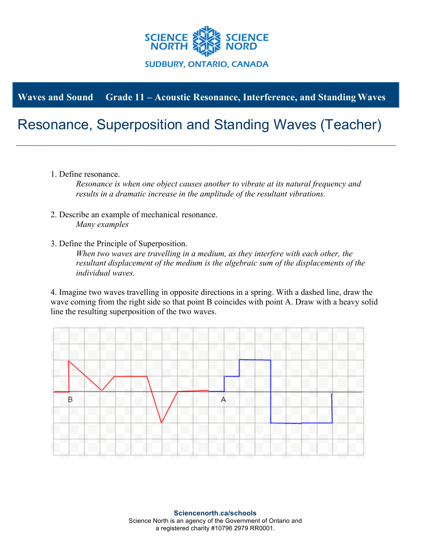

## **Waves and Sound Grade 11 – Acoustic Resonance, Interference, and Standing Waves**

## Resonance, Superposition and Standing Waves (Teacher)

1. Define resonance.

*Resonance is when one object causes another to vibrate at its natural frequency and results in a dramatic increase in the amplitude of the resultant vibrations.*

- 2. Describe an example of mechanical resonance. *Many examples*
- 3. Define the Principle of Superposition.

*When two waves are travelling in a medium, as they interfere with each other, the resultant displacement of the medium is the algebraic sum of the displacements of the individual waves.*

4. Imagine two waves travelling in opposite directions in a spring. With a dashed line, draw the wave coming from the right side so that point B coincides with point A. Draw with a heavy solid line the resulting superposition of the two waves.